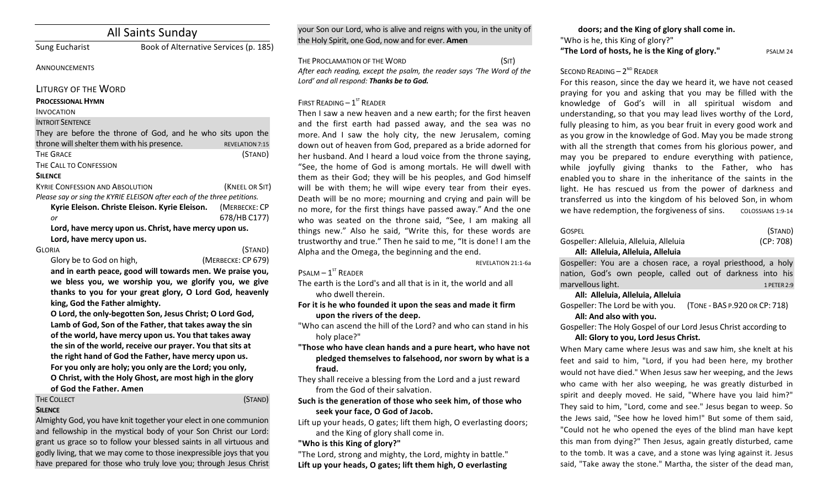# All Saints Sunday

Sung Eucharist Book of Alternative Services (p. 185)

**ANNOUNCEMENTS** 

LITURGY OF THE WORD

#### **PROCESSIONAL HYMN**

#### INVOCATION

#### **INTROIT SENTENCE**

They are before the throne of God, and he who sits upon the throne will shelter them with his presence. REVELATION 7:15 THE GRACE (STAND) THE CALL TO CONFESSION **SILENCE** KYRIE CONFESSION AND ABSOLUTION *NATEL ANDER* (KNEEL OR SIT) *Please say or sing the KYRIE ELEISON after each of the three petitions.* **Kyrie Eleison. Christe Eleison. Kyrie Eleison.** (MERBECKE: CP *or* 678/HB C177) Lord, have mercy upon us. Christ, have mercy upon us. Lord, have mercy upon us.

| )R<br>×<br>×<br>× |
|-------------------|
|-------------------|

GLORIA (STAND) Glory be to God on high, *(MERBECKE: CP 679)* 

and in earth peace, good will towards men. We praise you, we bless you, we worship you, we glorify you, we give thanks to you for your great glory, O Lord God, heavenly king, God the Father almighty.

O Lord, the only-begotten Son, Jesus Christ; O Lord God, Lamb of God, Son of the Father, that takes away the sin of the world, have mercy upon us. You that takes away the sin of the world, receive our prayer. You that sits at the right hand of God the Father, have mercy upon us. For you only are holy; you only are the Lord; you only, **O** Christ, with the Holy Ghost, are most high in the glory of God the Father. Amen

# THE COLLECT (STAND)

## **SILENCE**

Almighty God, you have knit together your elect in one communion and fellowship in the mystical body of your Son Christ our Lord: grant us grace so to follow your blessed saints in all virtuous and godly living, that we may come to those inexpressible joys that you have prepared for those who truly love you; through Jesus Christ your Son our Lord, who is alive and reigns with you, in the unity of the Holy Spirit, one God, now and for ever. Amen

THE PROCLAMATION OF THE WORD (SIT) After each reading, except the psalm, the reader says 'The Word of the Lord' and all respond: Thanks be to God.

#### **FIRST READING –**  $1^{ST}$  **READER**

Then I saw a new heaven and a new earth; for the first heaven and the first earth had passed away, and the sea was no more. And I saw the holy city, the new Jerusalem, coming down out of heaven from God, prepared as a bride adorned for her husband. And I heard a loud voice from the throne saying, "See, the home of God is among mortals. He will dwell with them as their God; they will be his peoples, and God himself will be with them; he will wipe every tear from their eyes. Death will be no more; mourning and crying and pain will be no more, for the first things have passed away." And the one who was seated on the throne said, "See, I am making all things new." Also he said, "Write this, for these words are trustworthy and true." Then he said to me, "It is done! I am the Alpha and the Omega, the beginning and the end.

REVELATION 21:1-6a

## $P$ SALM –  $1^{ST}$  READER

- The earth is the Lord's and all that is in it, the world and all who dwell therein.
- For it is he who founded it upon the seas and made it firm **upon the rivers of the deep.**
- "Who can ascend the hill of the Lord? and who can stand in his holy place?"
- "Those who have clean hands and a pure heart, who have not pledged themselves to falsehood, nor sworn by what is a **fraud.**
- They shall receive a blessing from the Lord and a just reward from the God of their salvation.
- Such is the generation of those who seek him, of those who seek your face, O God of Jacob.

Lift up your heads, O gates; lift them high, O everlasting doors; and the King of glory shall come in.

"Who is this King of glory?"

"The Lord, strong and mighty, the Lord, mighty in battle." Lift up your heads, O gates; lift them high, O everlasting

doors; and the King of glory shall come in. "Who is he, this King of glory?" **"The Lord of hosts, he is the King of glory."** PSALM 24

## SECOND READING  $- 2^{ND}$  READER

For this reason, since the day we heard it, we have not ceased praying for you and asking that you may be filled with the knowledge of God's will in all spiritual wisdom and understanding, so that you may lead lives worthy of the Lord, fully pleasing to him, as you bear fruit in every good work and as you grow in the knowledge of God. May you be made strong with all the strength that comes from his glorious power, and may you be prepared to endure everything with patience, while joyfully giving thanks to the Father, who has enabled you to share in the inheritance of the saints in the light. He has rescued us from the power of darkness and transferred us into the kingdom of his beloved Son, in whom we have redemption, the forgiveness of sins. COLOSSIANS 1:9-14

| <b>GOSPEL</b>                                                  | (STAND)     |
|----------------------------------------------------------------|-------------|
| Gospeller: Alleluia, Alleluia, Alleluia                        | (CP: 708)   |
| All: Alleluia, Alleluia, Alleluia                              |             |
| Gospeller: You are a chosen race, a royal priesthood, a holy   |             |
| nation, God's own people, called out of darkness into his      |             |
| marvellous light.                                              | 1 PETER 2:9 |
| All: Alleluia, Alleluia, Alleluia                              |             |
| Gospeller: The Lord be with you. (TONE - BAS P.920 OR CP: 718) |             |

All: And also with you.

Gospeller: The Holy Gospel of our Lord Jesus Christ according to All: Glory to you, Lord Jesus Christ.

When Mary came where Jesus was and saw him, she knelt at his feet and said to him, "Lord, if you had been here, my brother would not have died." When Jesus saw her weeping, and the Jews who came with her also weeping, he was greatly disturbed in spirit and deeply moved. He said, "Where have you laid him?" They said to him, "Lord, come and see." Jesus began to weep. So the Jews said, "See how he loved him!" But some of them said, "Could not he who opened the eyes of the blind man have kept this man from dying?" Then Jesus, again greatly disturbed, came to the tomb. It was a cave, and a stone was lying against it. Jesus said, "Take away the stone." Martha, the sister of the dead man,